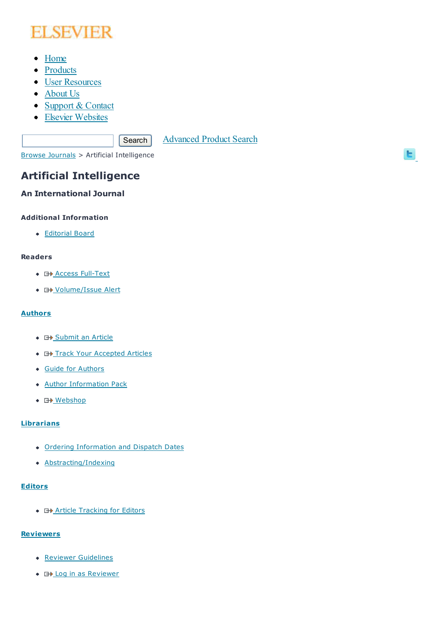# **ELSEVIER**

- Home
- Products
- User Resources
- About Us
- Support & Contact
- Elsevier Websites

Search Advanced Product Search

ы

Browse Journals > Artificial Intelligence

# **Artificial Intelligence**

# **An International Journal**

#### **Additional Information**

Editorial Board

#### **Readers**

- ◆ **G+** Access Full-Text
- E+ Volume/Issue Alert

### **Authors**

- **G+** Submit an Article
- E+ Track Your Accepted Articles
- Guide for Authors
- Author Information Pack
- ◆ 日<u>》Webshop</u>

# **Librarians**

- Ordering Information and Dispatch Dates
- Abstracting/Indexing

#### **Editors**

**+ E+ Article Tracking for Editors** 

# **Reviewers**

- Reviewer Guidelines
- **E** Log in as Reviewer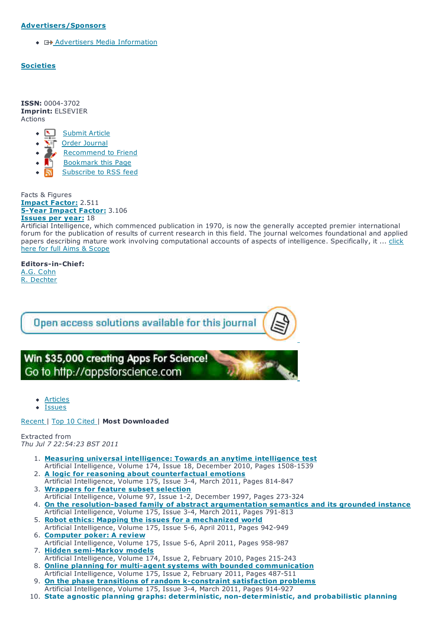#### **Advertisers/Sponsors**

◆ 日 Advertisers Media Information

#### **Societies**

**ISSN:** 0004-3702 **Imprint:** ELSEVIER Actions

- Submit Article
- Order Journal
- Recommend to Friend
- Bookmark this Page
- Subscribe to RSS feed

Facts & Figures **Impact Factor:** 2.511 **5-Year Impact Factor:** 3.106 **Issues per year:** 18

Artificial Intelligence, which commenced publication in 1970, is now the generally accepted premier international forum for the publication of results of current research in this field. The journal welcomes foundational and applied papers describing mature work involving computational accounts of aspects of intelligence. Specifically, it ... click here for full Aims & Scope

**Editors-in-Chief:** A.G. Cohn R. Dechter



Win \$35,000 creating Apps For Science! Go to http://appsforscience.com

- Articles
- Issues

#### Recent | Top 10 Cited | **Most Downloaded**

Extracted from *Thu Jul 7 22:54:23 BST 2011*

- 1. **Measuring universal intelligence: Towards an anytime intelligence test** Artificial Intelligence, Volume 174, Issue 18, December 2010, Pages 1508-1539
- 2. **A logic for reasoning about counterfactual emotions** Artificial Intelligence, Volume 175, Issue 3-4, March 2011, Pages 814-847
- 3. **Wrappers for feature subset selection** Artificial Intelligence, Volume 97, Issue 1-2, December 1997, Pages 273-324
- 4. **On the resolution-based family of abstract argumentation semantics and its grounded instance** Artificial Intelligence, Volume 175, Issue 3-4, March 2011, Pages 791-813
- 5. **Robot ethics: Mapping the issues for a mechanized world** Artificial Intelligence, Volume 175, Issue 5-6, April 2011, Pages 942-949
- 6. **Computer poker: A review** Artificial Intelligence, Volume 175, Issue 5-6, April 2011, Pages 958-987
- 7. **Hidden semi-Markov models** Artificial Intelligence, Volume 174, Issue 2, February 2010, Pages 215-243
- 8. **Online planning for multi-agent systems with bounded communication** Artificial Intelligence, Volume 175, Issue 2, February 2011, Pages 487-511
- 9. **On the phase transitions of random k-constraint satisfaction problems** Artificial Intelligence, Volume 175, Issue 3-4, March 2011, Pages 914-927
- 10. **State agnostic planning graphs: deterministic, non-deterministic, and probabilistic planning**